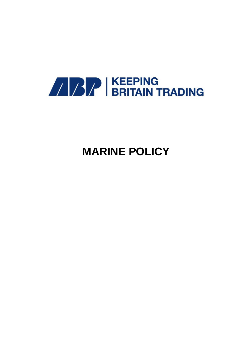

# **MARINE POLICY**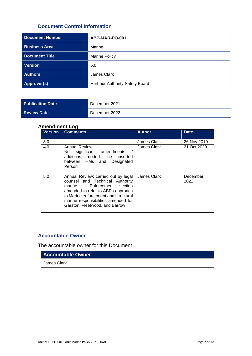# **Document Control Information**

| <b>Document Number</b> | ABP-MAR-PO-001                 |  |
|------------------------|--------------------------------|--|
| <b>Business Area</b>   | Marine                         |  |
| <b>Document Title</b>  | <b>Marine Policy</b>           |  |
| <b>Version</b>         | 5.0                            |  |
| <b>Authors</b>         | James Clark                    |  |
| <b>Approver(s)</b>     | Harbour Authority Safety Board |  |

| <b>Publication Date</b> | December 2021 |
|-------------------------|---------------|
| <b>Review Date</b>      | December 2022 |

# **Amendment Log**

| <b>Version</b> | <b>Comments</b>                                                                                                                                                                                                                                             | <b>Author</b> | <b>Date</b>      |
|----------------|-------------------------------------------------------------------------------------------------------------------------------------------------------------------------------------------------------------------------------------------------------------|---------------|------------------|
| 3.0            |                                                                                                                                                                                                                                                             | James Clark   | 26 Nov 2019      |
| 4.0            | Annual Review:<br>No significant amendments<br>additions, dotted line inserted<br>between HMs and Designated<br>Person                                                                                                                                      | James Clark   | 21 Oct 2020      |
| 5.0            | Annual Review: carried out by legal<br>counsel and Technical Authority<br>marine. Enforcement section<br>amended to refer to ABPs approach<br>to Marine enforcement and structural<br>marine responsibilities amended for<br>Garston, Fleetwood, and Barrow | James Clark   | December<br>2021 |
|                |                                                                                                                                                                                                                                                             |               |                  |
|                |                                                                                                                                                                                                                                                             |               |                  |

# **Accountable Owner**

The accountable owner for this Document

**Accountable Owner**

James Clark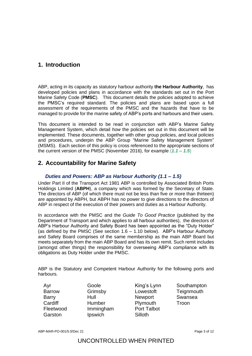# **1. Introduction**

ABP, acting in its capacity as statutory harbour authority **the Harbour Authority**, has developed policies and plans in accordance with the standards set out in the Port Marine Safety Code (**PMSC**). This document details the policies adopted to achieve the PMSC's required standard. The policies and plans are based upon a full assessment of the requirements of the PMSC and the hazards that have to be managed to provide for the marine safety of ABP's ports and harbours and their users.

This document is intended to be read in conjunction with ABP's Marine Safety Management System, which detail *how* the policies set out in this document will be implemented. These documents, together with other group policies, and local policies and procedures, underpin the ABP Group "Marine Safety Management System" (MSMS). Each section of this policy is cross referenced to the appropriate sections of the current version of the PMSC (November 2016), for example (*1.1 – 1.5*)

# **2. Accountability for Marine Safety**

# *Duties and Powers: ABP as Harbour Authority (1.1 – 1.5)*

Under Part II of the Transport Act 1981 ABP is controlled by Associated British Ports Holdings Limited (**ABPH**), a company which was formed by the Secretary of State. The directors of ABP (of which there must not be less than five or more than thirteen) are appointed by ABPH, but ABPH has no power to give directions to the directors of ABP in respect of the execution of their powers and duties as a Harbour Authority.

In accordance with the PMSC and the *Guide To Good Practice* (published by the Department of Transport and which applies to all harbour authorities), the directors of ABP's Harbour Authority and Safety Board has been appointed as the "Duty Holder" (as defined by the PMSC (See section 1.6 – 1.10 below). ABP's Harbour Authority and Safety Board comprises of the same membership as the main ABP Board but meets separately from the main ABP Board and has its own remit. Such remit includes (amongst other things) the responsibility for overseeing ABP's compliance with its obligations as Duty Holder under the PMSC.

ABP is the Statutory and Competent Harbour Authority for the following ports and harbours.

Barrow Grimsby Lowestoft Teignmouth Barry Hull Newport Swansea Cardiff **Humber** Plymouth Troon Fleetwood Immingham Port Talbot Garston Ipswich Silloth

- 
- Ayr Goole King's Lynn Southampton

ABP-MAR-PO-001/5.0/Dec 21 **Page 3 of 12** Page 3 of 12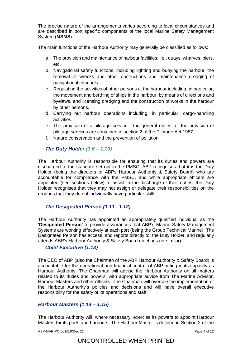The precise nature of the arrangements varies according to local circumstances and are described in port specific components of the local Marine Safety Management System (**MSMS**).

The main functions of the Harbour Authority may generally be classified as follows:

- a. The provision and maintenance of harbour facilities, i.e., quays, wharves, piers, etc.
- b. Navigational safety functions, including lighting and buoying the harbour, the removal of wrecks and other obstructions and maintenance dredging of navigational channels.
- c. Regulating the activities of other persons at the harbour including, in particular, the movement and berthing of ships in the harbour, by means of directions and byelaws, and licensing dredging and the construction of works in the harbour by other persons.
- d. Carrying out harbour operations including, in particular, cargo-handling activities.
- e. The provision of a pilotage service the general duties for the provision of pilotage services are contained in section 2 of the Pilotage Act 1987.
- f. Nature conservation and the prevention of pollution.

## *The Duty Holder (1.6 – 1.10)*

The Harbour Authority is responsible for ensuring that its duties and powers are discharged to the standard set out in the PMSC. ABP recognises that it is the Duty Holder (being the directors of ABPs Harbour Authority & Safety Board) who are accountable for compliance with the PMSC, and while appropriate officers are appointed (see sections below) to assist in the discharge of their duties, the Duty Holder recognises that they may not assign or delegate their responsibilities on the grounds that they do not individually have particular skills.

#### *The Designated Person (1.11– 1.12)*

The Harbour Authority has appointed an appropriately qualified individual as the '**Designated Person'** to provide assurances that ABP's Marine Safety-Management Systems are working effectively at each port (being the Group Technical Marine). The Designated Person has access, and reports directly to, the Duty Holder; and regularly attends ABP's Harbour Authority & Safety Board meetings (or similar).

#### *Chief Executive (1.13)*

The CEO of ABP (also the Chairman of the ABP Harbour Authority & Safety Board) is accountable for the operational and financial control of ABP acting in its capacity as Harbour Authority. The Chairman will advise the Harbour Authority on all matters related to its duties and powers, with appropriate advice from The Marine Advisor, Harbour Masters and other officers. The Chairman will oversee the implementation of the Harbour Authority's policies and decisions and will have overall executive responsibility for the safety of its operations and staff.

#### *Harbour Masters (1.14 – 1.15)*

The Harbour Authority will, where necessary, exercise its powers to appoint Harbour Masters for its ports and harbours. The Harbour Master is defined in Section 2 of the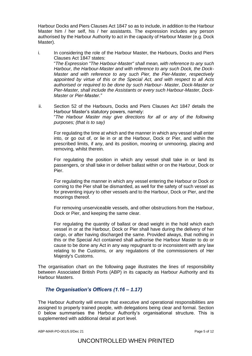Harbour Docks and Piers Clauses Act 1847 so as to include, in addition to the Harbour Master him / her self, his / her assistants. The expression includes any person authorised by the Harbour Authority to act in the capacity of Harbour Master (e.g. Dock Master).

- i. In considering the role of the Harbour Master, the Harbours, Docks and Piers Clauses Act 1847 states: "*The Expression "The Harbour-Master" shall mean, with reference to any such Harbour, the Harbour-Master and with reference to any such Dock, the Dock-Master and with reference to any such Pier, the Pier-Master, respectively appointed by virtue of this or the Special Act, and with respect to all Acts authorised or required to be done by such Harbour- Master, Dock-Master or Pier-Master, shall include the Assistants or every such Harbour-Master, Dock-Master or Pier-Master."*
- ii. Section 52 of the Harbours, Docks and Piers Clauses Act 1847 details the Harbour Master's statutory powers, namely: "*The Harbour Master may give directions for all or any of the following purposes; (that is to say)*

For regulating the time at which and the manner in which any vessel shall enter into, or go out of, or lie in or at the Harbour, Dock or Pier, and within the prescribed limits, if any, and its position, mooring or unmooring, placing and removing, whilst therein.

For regulating the position in which any vessel shall take in or land its passengers, or shall take in or deliver ballast within or on the Harbour, Dock or Pier.

For regulating the manner in which any vessel entering the Harbour or Dock or coming to the Pier shall be dismantled, as well for the safety of such vessel as for preventing injury to other vessels and to the Harbour, Dock or Pier, and the moorings thereof.

For removing unserviceable vessels, and other obstructions from the Harbour, Dock or Pier, and keeping the same clear.

For regulating the quantity of ballast or dead weight in the hold which each vessel in or at the Harbour, Dock or Pier shall have during the delivery of her cargo, or after having discharged the same. Provided always, that nothing in this or the Special Act contained shall authorise the Harbour Master to do or cause to be done any Act in any way repugnant to or inconsistent with any law relating to the Customs, or any regulations of the commissioners of Her Majesty's Customs.

The organisation chart on the following page illustrates the lines of responsibility between Associated British Ports (ABP) in its capacity as Harbour Authority and its Harbour Masters.

# <span id="page-4-0"></span>*The Organisation's Officers (1.16 – 1.17)*

The Harbour Authority will ensure that executive and operational responsibilities are assigned to properly trained people, with delegations being clear and formal. Section [0](#page-4-0) below summarises the Harbour Authority's organisational structure. This is supplemented with additional detail at port level.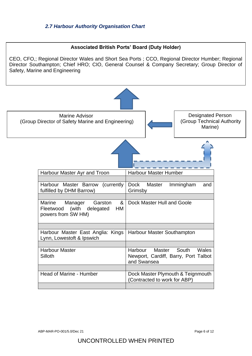# **Associated British Ports' Board (Duty Holder)**

CEO, CFO,; Regional Director Wales and Short Sea Ports ; CCO, Regional Director Humber; Regional Director Southampton; Chief HRO; CIO, General Counsel & Company Secretary; Group Director of Safety, Marine and Engineering



ABP-MAR-PO-001/5.0/Dec 21 Page 6 of 12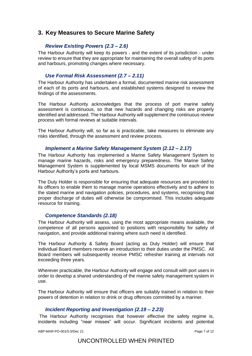# **3. Key Measures to Secure Marine Safety**

## *Review Existing Powers (2.3 – 2.6)*

The Harbour Authority will keep its powers - and the extent of its jurisdiction - under review to ensure that they are appropriate for maintaining the overall safety of its ports and harbours, promoting changes where necessary.

## *Use Formal Risk Assessment (2.7 – 2.11)*

The Harbour Authority has undertaken a formal, documented marine risk assessment of each of its ports and harbours, and established systems designed to review the findings of the assessments.

The Harbour Authority acknowledges that the process of port marine safety assessment is continuous, so that new hazards and changing risks are properly identified and addressed. The Harbour Authority will supplement the continuous review process with formal reviews at suitable intervals.

The Harbour Authority will, so far as is practicable, take measures to eliminate any risks identified, through the assessment and review process.

#### *Implement a Marine Safety Management System (2.12 – 2.17)*

The Harbour Authority has implemented a Marine Safety Management System to manage marine hazards, risks and emergency preparedness. The Marine Safety Management System is supplemented by local MSMS documents for each of the Harbour Authority's ports and harbours.

The Duty Holder is responsible for ensuring that adequate resources are provided to its officers to enable them to manage marine operations effectively and to adhere to the stated marine and navigation policies, procedures, and systems, recognising that proper discharge of duties will otherwise be compromised. This includes adequate resource for training.

#### *Competence Standards (2.18)*

The Harbour Authority will assess, using the most appropriate means available, the competence of all persons appointed to positions with responsibility for safety of navigation, and provide additional training where such need is identified.

The Harbour Authority & Safety Board (acting as Duty Holder) will ensure that individual Board members receive an introduction to their duties under the PMSC. All Board members will subsequently receive PMSC refresher training at intervals not exceeding three years.

Wherever practicable, the Harbour Authority will engage and consult with port users in order to develop a shared understanding of the marine safety management system in use.

The Harbour Authority will ensure that officers are suitably trained in relation to their powers of detention in relation to drink or drug offences committed by a mariner.

#### *Incident Reporting and Investigation (2.19 – 2.23)*

The Harbour Authority recognises that however effective the safety regime is, incidents including "near misses" will occur. Significant incidents and potential

ABP-MAR-PO-001/5.0/Dec 21 Page 7 of 12

# UNCONTROLLED WHEN PRINTED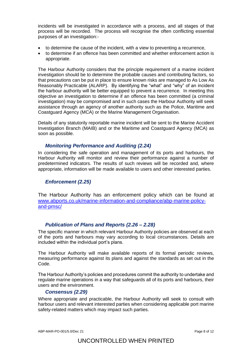incidents will be investigated in accordance with a process, and all stages of that process will be recorded. The process will recognise the often conflicting essential purposes of an investigation:-

- to determine the cause of the incident, with a view to preventing a recurrence,
- to determine if an offence has been committed and whether enforcement action is appropriate.

The Harbour Authority considers that the principle requirement of a marine incident investigation should be to determine the probable causes and contributing factors, so that precautions can be put in place to ensure known risks are managed to As Low As Reasonably Practicable (ALARP). By identifying the "what" and "why" of an incident the harbour authority will be better equipped to prevent a recurrence. In meeting this objective an investigation to determine if an offence has been committed (a criminal investigation) may be compromised and in such cases the Harbour Authority will seek assistance through an agency of another authority such as the Police, Maritime and Coastguard Agency (MCA) or the Marine Management Organisation.

Details of any statutorily reportable marine incident will be sent to the Marine Accident Investigation Branch (MAIB) and or the Maritime and Coastguard Agency (MCA) as soon as possible.

#### *Monitoring Performance and Auditing (2.24)*

In considering the safe operation and management of its ports and harbours, the Harbour Authority will monitor and review their performance against a number of predetermined indicators. The results of such reviews will be recorded and, where appropriate, information will be made available to users and other interested parties.

# *Enforcement (2.25)*

The Harbour Authority has an enforcement policy which can be found at [www.abports.co.uk/marine-information-and-compliance/abp-marine-policy](http://www.abports.co.uk/marine-information-and-compliance/abp-marine-policy-and-pmsc/)[and-pmsc/](http://www.abports.co.uk/marine-information-and-compliance/abp-marine-policy-and-pmsc/)

#### *Publication of Plans and Reports (2.26 – 2.28)*

The specific manner in which relevant Harbour Authority policies are observed at each of the ports and harbours may vary according to local circumstances. Details are included within the individual port's plans.

The Harbour Authority will make available reports of its formal periodic reviews, measuring performance against its plans and against the standards as set out in the Code.

The Harbour Authority's policies and procedures commit the authority to undertake and regulate marine operations in a way that safeguards all of its ports and harbours, their users and the environment.

#### *Consensus (2.29)*

Where appropriate and practicable, the Harbour Authority will seek to consult with harbour users and relevant interested parties when considering applicable port marine safety-related matters which may impact such parties.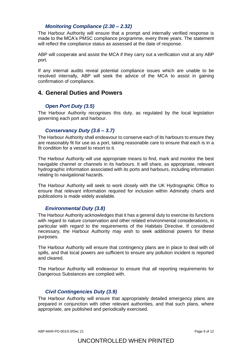#### *Monitoring Compliance (2.30 – 2.32)*

The Harbour Authority will ensure that a prompt and internally verified response is made to the MCA's PMSC compliance programme, every three years. The statement will reflect the compliance status as assessed at the date of response.

ABP will cooperate and assist the MCA if they carry out a verification visit at any ABP port.

If any internal audits reveal potential compliance issues which are unable to be resolved internally, ABP will seek the advice of the MCA to assist in gaining confirmation of compliance.

# **4. General Duties and Powers**

#### *Open Port Duty (3.5)*

The Harbour Authority recognises this duty, as regulated by the local legislation governing each port and harbour.

#### *Conservancy Duty (3.6 – 3.7)*

The Harbour Authority shall endeavour to conserve each of its harbours to ensure they are reasonably fit for use as a port, taking reasonable care to ensure that each is in a fit condition for a vessel to resort to it.

The Harbour Authority will use appropriate means to find, mark and monitor the best navigable channel or channels in its harbours. It will share, as appropriate, relevant hydrographic information associated with its ports and harbours, including information relating to navigational hazards.

The Harbour Authority will seek to work closely with the UK Hydrographic Office to ensure that relevant information required for inclusion within Admiralty charts and publications is made widely available.

#### *Environmental Duty (3.8)*

The Harbour Authority acknowledges that it has a general duty to exercise its functions with regard to nature conservation and other related environmental considerations, in particular with regard to the requirements of the Habitats Directive. If considered necessary, the Harbour Authority may wish to seek additional powers for these purposes.

The Harbour Authority will ensure that contingency plans are in place to deal with oil spills, and that local powers are sufficient to ensure any pollution incident is reported and cleared.

The Harbour Authority will endeavour to ensure that all reporting requirements for Dangerous Substances are complied with.

#### *Civil Contingencies Duty (3.9)*

The Harbour Authority will ensure that appropriately detailed emergency plans are prepared in conjunction with other relevant authorities, and that such plans, where appropriate, are published and periodically exercised.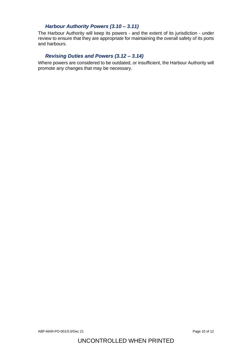# *Harbour Authority Powers (3.10 – 3.11)*

The Harbour Authority will keep its powers - and the extent of its jurisdiction - under review to ensure that they are appropriate for maintaining the overall safety of its ports and harbours.

# *Revising Duties and Powers (3.12 – 3.14)*

Where powers are considered to be outdated, or insufficient, the Harbour Authority will promote any changes that may be necessary.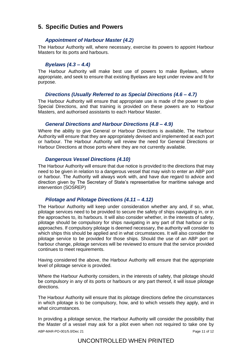# **5. Specific Duties and Powers**

## *Appointment of Harbour Master (4.2)*

The Harbour Authority will, where necessary, exercise its powers to appoint Harbour Masters for its ports and harbours.

#### *Byelaws (4.3 – 4.4)*

The Harbour Authority will make best use of powers to make Byelaws, where appropriate, and seek to ensure that existing Byelaws are kept under review and fit for purpose.

## *Directions (Usually Referred to as Special Directions (4.6 – 4.7)*

The Harbour Authority will ensure that appropriate use is made of the power to give Special Directions, and that training is provided on these powers are to Harbour Masters, and authorised assistants to each Harbour Master.

## *General Directions and Harbour Directions (4.8 – 4.9)*

Where the ability to give General or Harbour Directions is available, The Harbour Authority will ensure that they are appropriately devised and implemented at each port or harbour. The Harbour Authority will review the need for General Directions or Harbour Directions at those ports where they are not currently available.

#### *Dangerous Vessel Directions (4.10)*

The Harbour Authority will ensure that due notice is provided to the directions that may need to be given in relation to a dangerous vessel that may wish to enter an ABP port or harbour. The Authority will always work with, and have due regard to advice and direction given by The Secretary of State's representative for maritime salvage and intervention (SOSREP)

#### *Pilotage and Pilotage Directions (4.11 – 4.12)*

The Harbour Authority will keep under consideration whether any and, if so, what, pilotage services need to be provided to secure the safety of ships navigating in, or in the approaches to, its harbours. It will also consider whether, in the interests of safety, pilotage should be compulsory for ships navigating in any part of that harbour or its approaches. If compulsory pilotage is deemed necessary, the authority will consider to which ships this should be applied and in what circumstances. It will also consider the pilotage service to be provided for those ships. Should the use of an ABP port or harbour change, pilotage services will be reviewed to ensure that the service provided continues to meet requirements.

Having considered the above, the Harbour Authority will ensure that the appropriate level of pilotage service is provided.

Where the Harbour Authority considers, in the interests of safety, that pilotage should be compulsory in any of its ports or harbours or any part thereof, it will issue pilotage directions.

The Harbour Authority will ensure that its pilotage directions define the circumstances in which pilotage is to be compulsory, how, and to which vessels they apply, and in what circumstances.

In providing a pilotage service, the Harbour Authority will consider the possibility that the Master of a vessel may ask for a pilot even when not required to take one by

ABP-MAR-PO-001/5.0/Dec 21 Page 11 of 12